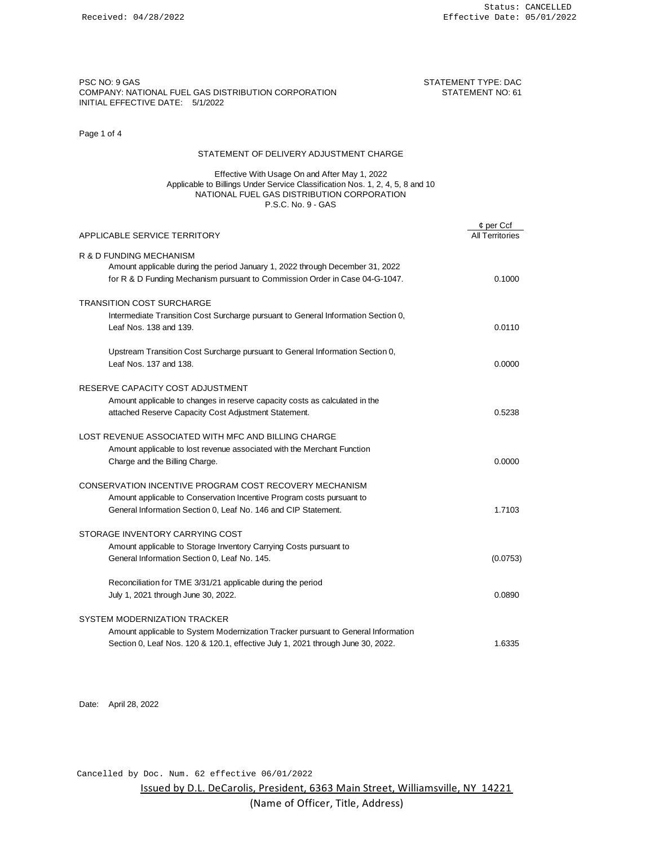PSC NO: 9 GAS STATEMENT TYPE: DACK A STATEMENT TYPE: DACK A STATEMENT TYPE: DACK A STATEMENT TYPE: DACK A STATEMENT TYPE: DACK A STATEMENT TYPE: DACK A STATEMENT TYPE: DACK A STATEMENT TYPE: DACK A STATEMENT TYPE: DACK A S COMPANY: NATIONAL FUEL GAS DISTRIBUTION CORPORATION STATEMENT NO: 61 INITIAL EFFECTIVE DATE: 5/1/2022

## Page 1 of 4

## STATEMENT OF DELIVERY ADJUSTMENT CHARGE

### Effective With Usage On and After May 1, 2022 Applicable to Billings Under Service Classification Nos. 1, 2, 4, 5, 8 and 10 NATIONAL FUEL GAS DISTRIBUTION CORPORATION P.S.C. No. 9 - GAS

|                                                                                                                                                                                         | $¢$ per Ccf     |
|-----------------------------------------------------------------------------------------------------------------------------------------------------------------------------------------|-----------------|
| APPLICABLE SERVICE TERRITORY                                                                                                                                                            | All Territories |
| R & D FUNDING MECHANISM<br>Amount applicable during the period January 1, 2022 through December 31, 2022<br>for R & D Funding Mechanism pursuant to Commission Order in Case 04-G-1047. | 0.1000          |
|                                                                                                                                                                                         |                 |
| <b>TRANSITION COST SURCHARGE</b><br>Intermediate Transition Cost Surcharge pursuant to General Information Section 0,<br>Leaf Nos. 138 and 139.                                         | 0.0110          |
| Upstream Transition Cost Surcharge pursuant to General Information Section 0,<br>Leaf Nos. 137 and 138.                                                                                 | 0.0000          |
| RESERVE CAPACITY COST ADJUSTMENT                                                                                                                                                        |                 |
| Amount applicable to changes in reserve capacity costs as calculated in the                                                                                                             |                 |
| attached Reserve Capacity Cost Adjustment Statement.                                                                                                                                    | 0.5238          |
| LOST REVENUE ASSOCIATED WITH MFC AND BILLING CHARGE<br>Amount applicable to lost revenue associated with the Merchant Function                                                          |                 |
| Charge and the Billing Charge.                                                                                                                                                          | 0.0000          |
| CONSERVATION INCENTIVE PROGRAM COST RECOVERY MECHANISM                                                                                                                                  |                 |
| Amount applicable to Conservation Incentive Program costs pursuant to                                                                                                                   |                 |
| General Information Section 0, Leaf No. 146 and CIP Statement.                                                                                                                          | 1.7103          |
| STORAGE INVENTORY CARRYING COST                                                                                                                                                         |                 |
| Amount applicable to Storage Inventory Carrying Costs pursuant to                                                                                                                       |                 |
| General Information Section 0, Leaf No. 145.                                                                                                                                            | (0.0753)        |
| Reconciliation for TME 3/31/21 applicable during the period                                                                                                                             |                 |
| July 1, 2021 through June 30, 2022.                                                                                                                                                     | 0.0890          |
| SYSTEM MODERNIZATION TRACKER                                                                                                                                                            |                 |
| Amount applicable to System Modernization Tracker pursuant to General Information                                                                                                       |                 |
| Section 0, Leaf Nos. 120 & 120.1, effective July 1, 2021 through June 30, 2022.                                                                                                         | 1.6335          |

Date: April 28, 2022

Cancelled by Doc. Num. 62 effective 06/01/2022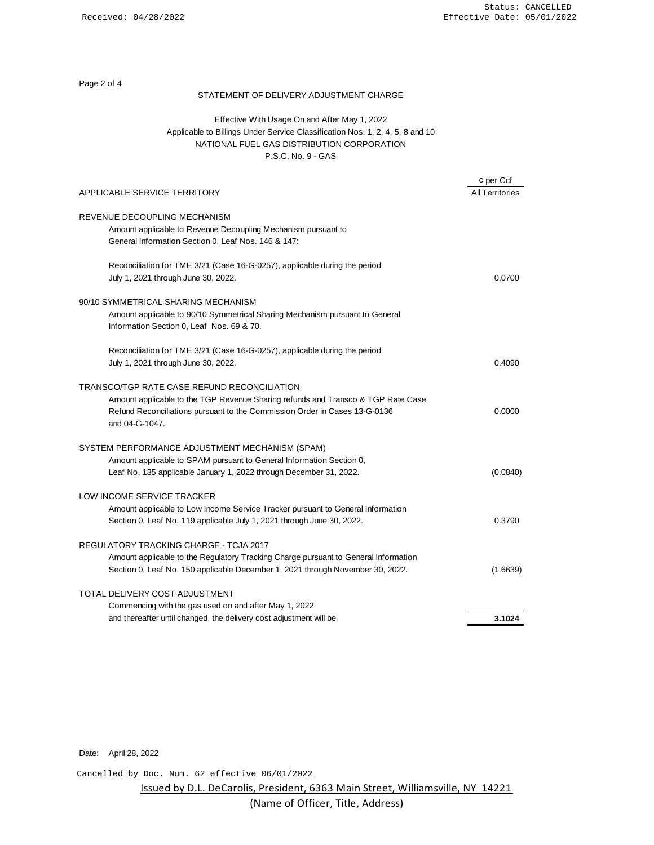Page 2 of 4

### STATEMENT OF DELIVERY ADJUSTMENT CHARGE

# Effective With Usage On and After May 1, 2022 Applicable to Billings Under Service Classification Nos. 1, 2, 4, 5, 8 and 10 NATIONAL FUEL GAS DISTRIBUTION CORPORATION P.S.C. No. 9 - GAS

|                                                                                                                                                                                                                                 | $\phi$ per Ccf         |
|---------------------------------------------------------------------------------------------------------------------------------------------------------------------------------------------------------------------------------|------------------------|
| APPLICABLE SERVICE TERRITORY                                                                                                                                                                                                    | <b>All Territories</b> |
| REVENUE DECOUPLING MECHANISM<br>Amount applicable to Revenue Decoupling Mechanism pursuant to<br>General Information Section 0, Leaf Nos. 146 & 147:                                                                            |                        |
| Reconciliation for TME 3/21 (Case 16-G-0257), applicable during the period<br>July 1, 2021 through June 30, 2022.                                                                                                               | 0.0700                 |
| 90/10 SYMMETRICAL SHARING MECHANISM<br>Amount applicable to 90/10 Symmetrical Sharing Mechanism pursuant to General<br>Information Section 0, Leaf Nos. 69 & 70.                                                                |                        |
| Reconciliation for TME 3/21 (Case 16-G-0257), applicable during the period<br>July 1, 2021 through June 30, 2022.                                                                                                               | 0.4090                 |
| TRANSCO/TGP RATE CASE REFUND RECONCILIATION<br>Amount applicable to the TGP Revenue Sharing refunds and Transco & TGP Rate Case<br>Refund Reconciliations pursuant to the Commission Order in Cases 13-G-0136<br>and 04-G-1047. | 0.0000                 |
| SYSTEM PERFORMANCE ADJUSTMENT MECHANISM (SPAM)<br>Amount applicable to SPAM pursuant to General Information Section 0,<br>Leaf No. 135 applicable January 1, 2022 through December 31, 2022.                                    | (0.0840)               |
| LOW INCOME SERVICE TRACKER<br>Amount applicable to Low Income Service Tracker pursuant to General Information<br>Section 0, Leaf No. 119 applicable July 1, 2021 through June 30, 2022.                                         | 0.3790                 |
| <b>REGULATORY TRACKING CHARGE - TCJA 2017</b><br>Amount applicable to the Regulatory Tracking Charge pursuant to General Information<br>Section 0, Leaf No. 150 applicable December 1, 2021 through November 30, 2022.          | (1.6639)               |
| TOTAL DELIVERY COST ADJUSTMENT<br>Commencing with the gas used on and after May 1, 2022<br>and thereafter until changed, the delivery cost adjustment will be                                                                   | 3.1024                 |
|                                                                                                                                                                                                                                 |                        |

Date: April 28, 2022

Cancelled by Doc. Num. 62 effective 06/01/2022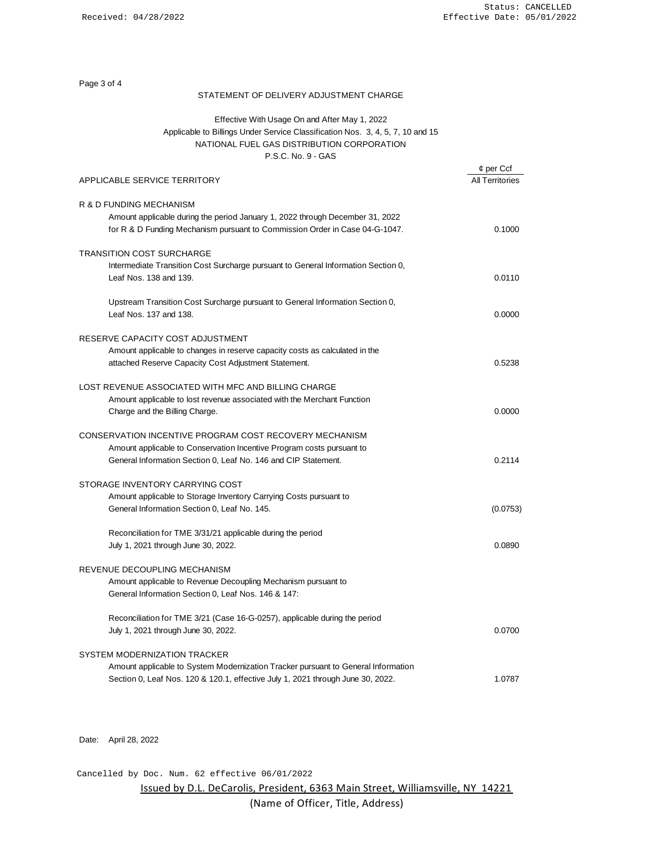¢ per Ccf

Page 3 of 4

## STATEMENT OF DELIVERY ADJUSTMENT CHARGE

# Applicable to Billings Under Service Classification Nos. 3, 4, 5, 7, 10 and 15 NATIONAL FUEL GAS DISTRIBUTION CORPORATION P.S.C. No. 9 - GAS Effective With Usage On and After May 1, 2022

| APPLICABLE SERVICE TERRITORY                                                                                                                                                                      | <b>All Territories</b> |
|---------------------------------------------------------------------------------------------------------------------------------------------------------------------------------------------------|------------------------|
| R & D FUNDING MECHANISM<br>Amount applicable during the period January 1, 2022 through December 31, 2022<br>for R & D Funding Mechanism pursuant to Commission Order in Case 04-G-1047.           | 0.1000                 |
| <b>TRANSITION COST SURCHARGE</b><br>Intermediate Transition Cost Surcharge pursuant to General Information Section 0,<br>Leaf Nos. 138 and 139.                                                   | 0.0110                 |
| Upstream Transition Cost Surcharge pursuant to General Information Section 0,<br>Leaf Nos. 137 and 138.                                                                                           | 0.0000                 |
| RESERVE CAPACITY COST ADJUSTMENT<br>Amount applicable to changes in reserve capacity costs as calculated in the<br>attached Reserve Capacity Cost Adjustment Statement.                           | 0.5238                 |
| LOST REVENUE ASSOCIATED WITH MFC AND BILLING CHARGE<br>Amount applicable to lost revenue associated with the Merchant Function<br>Charge and the Billing Charge.                                  | 0.0000                 |
| CONSERVATION INCENTIVE PROGRAM COST RECOVERY MECHANISM<br>Amount applicable to Conservation Incentive Program costs pursuant to<br>General Information Section 0, Leaf No. 146 and CIP Statement. | 0.2114                 |
| STORAGE INVENTORY CARRYING COST<br>Amount applicable to Storage Inventory Carrying Costs pursuant to<br>General Information Section 0, Leaf No. 145.                                              | (0.0753)               |
| Reconciliation for TME 3/31/21 applicable during the period<br>July 1, 2021 through June 30, 2022.                                                                                                | 0.0890                 |
| REVENUE DECOUPLING MECHANISM<br>Amount applicable to Revenue Decoupling Mechanism pursuant to<br>General Information Section 0, Leaf Nos. 146 & 147:                                              |                        |
| Reconciliation for TME 3/21 (Case 16-G-0257), applicable during the period<br>July 1, 2021 through June 30, 2022.                                                                                 | 0.0700                 |
| SYSTEM MODERNIZATION TRACKER<br>Amount applicable to System Modernization Tracker pursuant to General Information                                                                                 |                        |
| Section 0, Leaf Nos. 120 & 120.1, effective July 1, 2021 through June 30, 2022.                                                                                                                   | 1.0787                 |

Date: April 28, 2022

Cancelled by Doc. Num. 62 effective 06/01/2022